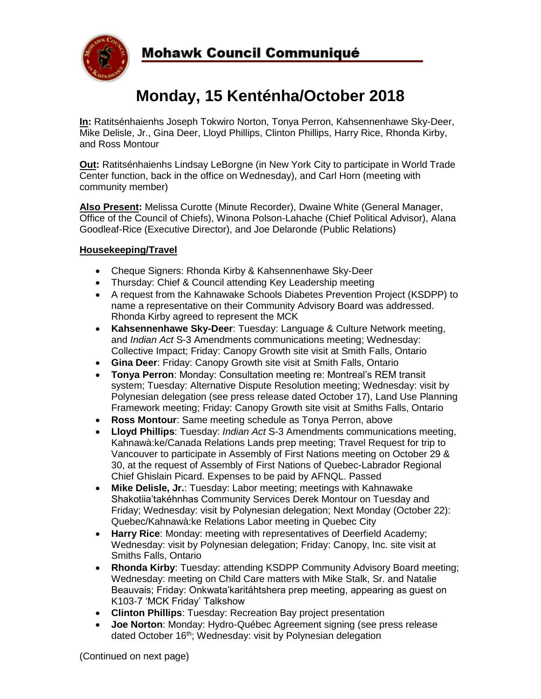

# **Monday, 15 Kenténha/October 2018**

**In:** Ratitsénhaienhs Joseph Tokwiro Norton, Tonya Perron, Kahsennenhawe Sky-Deer, Mike Delisle, Jr., Gina Deer, Lloyd Phillips, Clinton Phillips, Harry Rice, Rhonda Kirby, and Ross Montour

**Out:** Ratitsénhaienhs Lindsay LeBorgne (in New York City to participate in World Trade Center function, back in the office on Wednesday), and Carl Horn (meeting with community member)

**Also Present:** Melissa Curotte (Minute Recorder), Dwaine White (General Manager, Office of the Council of Chiefs), Winona Polson-Lahache (Chief Political Advisor), Alana Goodleaf-Rice (Executive Director), and Joe Delaronde (Public Relations)

## **Housekeeping/Travel**

- Cheque Signers: Rhonda Kirby & Kahsennenhawe Sky-Deer
- Thursday: Chief & Council attending Key Leadership meeting
- A request from the Kahnawake Schools Diabetes Prevention Project (KSDPP) to name a representative on their Community Advisory Board was addressed. Rhonda Kirby agreed to represent the MCK
- **Kahsennenhawe Sky-Deer**: Tuesday: Language & Culture Network meeting, and *Indian Act* S-3 Amendments communications meeting; Wednesday: Collective Impact; Friday: Canopy Growth site visit at Smith Falls, Ontario
- **Gina Deer**: Friday: Canopy Growth site visit at Smith Falls, Ontario
- **Tonya Perron**: Monday: Consultation meeting re: Montreal's REM transit system; Tuesday: Alternative Dispute Resolution meeting; Wednesday: visit by Polynesian delegation (see press release dated October 17), Land Use Planning Framework meeting; Friday: Canopy Growth site visit at Smiths Falls, Ontario
- **Ross Montour**: Same meeting schedule as Tonya Perron, above
- **Lloyd Phillips**: Tuesday: *Indian Act* S-3 Amendments communications meeting, Kahnawà:ke/Canada Relations Lands prep meeting; Travel Request for trip to Vancouver to participate in Assembly of First Nations meeting on October 29 & 30, at the request of Assembly of First Nations of Quebec-Labrador Regional Chief Ghislain Picard. Expenses to be paid by AFNQL. Passed
- **Mike Delisle, Jr.**: Tuesday: Labor meeting; meetings with Kahnawake Shakotiia'takéhnhas Community Services Derek Montour on Tuesday and Friday; Wednesday: visit by Polynesian delegation; Next Monday (October 22): Quebec/Kahnawà:ke Relations Labor meeting in Quebec City
- **Harry Rice**: Monday: meeting with representatives of Deerfield Academy; Wednesday: visit by Polynesian delegation; Friday: Canopy, Inc. site visit at Smiths Falls, Ontario
- **Rhonda Kirby**: Tuesday: attending KSDPP Community Advisory Board meeting; Wednesday: meeting on Child Care matters with Mike Stalk, Sr. and Natalie Beauvais; Friday: Onkwata'karitáhtshera prep meeting, appearing as guest on K103-7 'MCK Friday' Talkshow
- **Clinton Phillips**: Tuesday: Recreation Bay project presentation
- **Joe Norton**: Monday: Hydro-Québec Agreement signing (see press release dated October 16<sup>th</sup>; Wednesday: visit by Polynesian delegation

(Continued on next page)